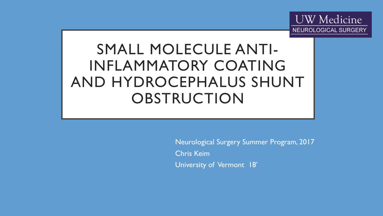

# SMALL MOLECULE ANTI-INFLAMMATORY COATING AND HYDROCEPHALUS SHUNT **OBSTRUCTION**

Neurological Surgery Summer Program, 2017 Chris Keim University of Vermont 18'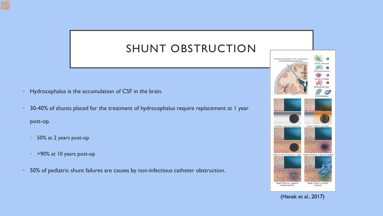## SHUNT OBSTRUCTION

- Hydrocephalus is the accumulation of CSF in the brain.
- 30-40% of shunts placed for the treatment of hydrocephalus require replacement at 1 year post-op.
	- 50% at 2 years post-op
	- >90% at 10 years post-op
- 50% of pediatric shunt failures are causes by non-infectious catheter obstruction.



(Hanak et al., 2017)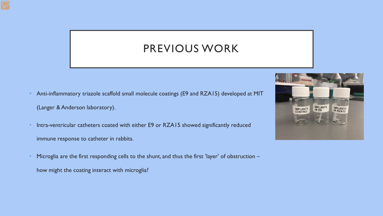#### PREVIOUS WORK

- Anti-inflammatory triazole scaffold small molecule coatings (E9 and RZA15) developed at MIT (Langer & Anderson laboratory).
- Intra-ventricular catheters coated with either E9 or RZA15 showed significantly reduced immune response to catheter in rabbits.
- Microglia are the first responding cells to the shunt, and thus the first 'layer' of obstruction
	- how might the coating interact with microglia?

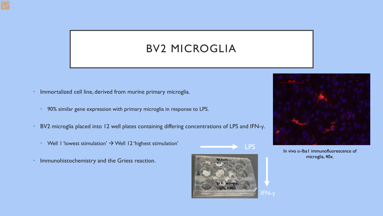## BV2 MICROGLIA

- Immortalized cell line, derived from murine primary microglia.
	- 90% similar gene expression with primary microglia in response to LPS.
- BV2 microglia placed into 12 well plates containing differing concentrations of LPS and IFN-γ.
	- Well I 'lowest stimulation'  $\rightarrow$  Well I2 'highest stimulation'
- Immunohistochemistry and the Griess reaction.





In vivo  $\alpha$ -Iba1 immunofluorescence of microglia, 40x.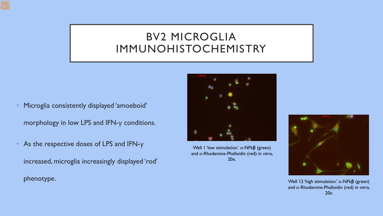#### BV2 MICROGLIA IMMUNOHISTOCHEMISTRY

• Microglia consistently displayed 'amoeboid'

morphology in low LPS and IFN-γ conditions.

• As the respective doses of LPS and IFN-γ

increased, microglia increasingly displayed 'rod'



Well 1 'low stimulation.' α-NFkβ (green) and  $\alpha$ -Rhodamine-Phalloidin (red) in vitro, 20x.



phenotype. **Well 12 'high stimulation.'** α-NFkβ (green) and  $\alpha$ -Rhodamine-Phalloidin (red) in vitro, 20x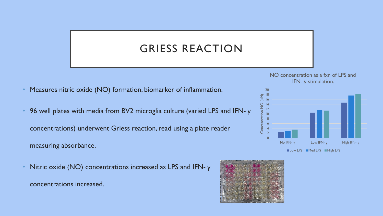## GRIESS REACTION

Measures nitric oxide (NO) formation, biomarker of inflammation.

- 96 well plates with media from BV2 microglia culture (varied LPS and IFN- γ concentrations) underwent Griess reaction, read using a plate reader measuring absorbance.
- Nitric oxide (NO) concentrations increased as LPS and IFN- $γ$ concentrations increased.





Low LPS Med LPS High LPS

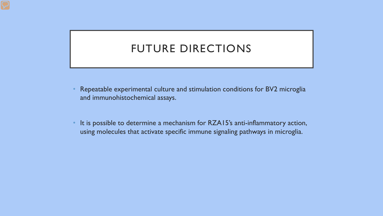#### FUTURE DIRECTIONS

- Repeatable experimental culture and stimulation conditions for BV2 microglia and immunohistochemical assays.
- It is possible to determine a mechanism for RZA15's anti-inflammatory action, using molecules that activate specific immune signaling pathways in microglia.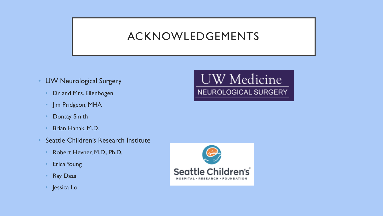#### ACKNOWLEDGEMENTS

- UW Neurological Surgery
	- Dr. and Mrs. Ellenbogen
	- Jim Pridgeon, MHA
	- Dontay Smith
	- Brian Hanak, M.D.
- Seattle Children's Research Institute
	- Robert Hevner, M.D., Ph.D.
	- **Erica Young**
	- Ray Daza
	- Jessica Lo